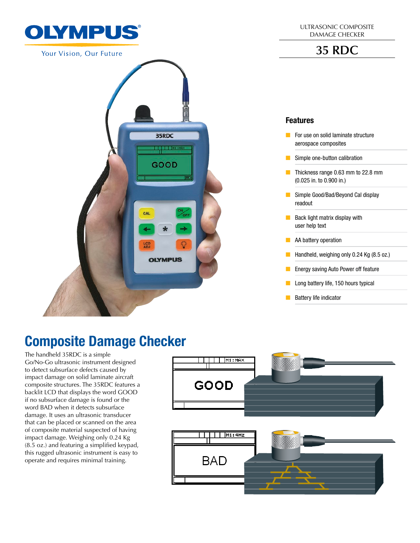

Your Vision, Our Future



# Composite Damage Checker

The handheld 35RDC is a simple Go/No-Go ultrasonic instrument designed to detect subsurface defects caused by impact damage on solid laminate aircraft composite structures. The 35RDC features a backlit LCD that displays the word GOOD if no subsurface damage is found or the word BAD when it detects subsurface damage. It uses an ultrasonic transducer that can be placed or scanned on the area of composite material suspected of having impact damage. Weighing only 0.24 Kg (8.5 oz.) and featuring a simplified keypad, this rugged ultrasonic instrument is easy to operate and requires minimal training.

ULTRASONIC COMPOSITE DAMAGE CHECKER

**35 RDC**

#### Features

- For use on solid laminate structure aerospace composites
- $\blacksquare$  Simple one-button calibration
- **D** Thickness range 0.63 mm to 22.8 mm (0.025 in. to 0.900 in.)
- **G** Simple Good/Bad/Beyond Cal display readout
- $\blacksquare$  Back light matrix display with user help text
- $\blacksquare$  AA battery operation
- **Handheld, weighing only 0.24 Kg (8.5 oz.)**
- $\blacksquare$  Energy saving Auto Power off feature
- $\Box$  Long battery life, 150 hours typical
- $\blacksquare$  Battery life indicator